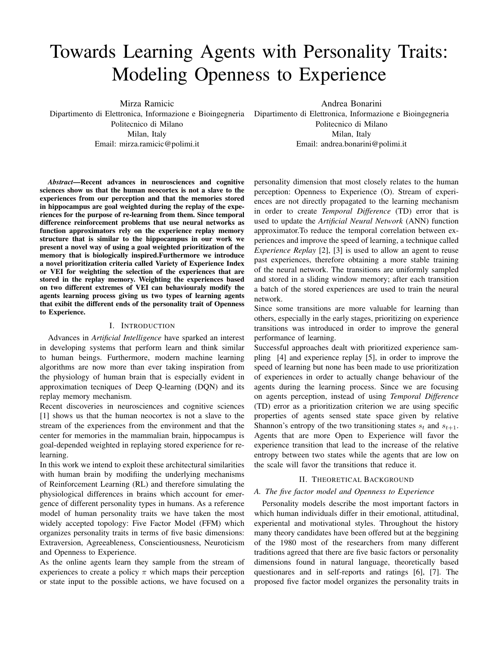# Towards Learning Agents with Personality Traits: Modeling Openness to Experience

Mirza Ramicic Dipartimento di Elettronica, Informazione e Bioingegneria Politecnico di Milano Milan, Italy Email: mirza.ramicic@polimi.it

Andrea Bonarini Dipartimento di Elettronica, Informazione e Bioingegneria Politecnico di Milano Milan, Italy Email: andrea.bonarini@polimi.it

*Abstract*—Recent advances in neurosciences and cognitive sciences show us that the human neocortex is not a slave to the experiences from our perception and that the memories stored in hippocampus are goal weighted during the replay of the experiences for the purpose of re-learning from them. Since temporal difference reinforcement problems that use neural networks as function approximators rely on the experience replay memory structure that is similar to the hippocampus in our work we present a novel way of using a goal weighted prioritization of the memory that is biologically inspired.Furthermore we introduce a novel prioritization criteria called Variety of Experience Index or VEI for weighting the selection of the experiences that are stored in the replay memory. Weighting the experiences based on two different extremes of VEI can behaviouraly modify the agents learning process giving us two types of learning agents that exibit the different ends of the personality trait of Openness to Experience.

## I. INTRODUCTION

Advances in *Artificial Intelligence* have sparked an interest in developing systems that perform learn and think similar to human beings. Furthermore, modern machine learning algorithms are now more than ever taking inspiration from the physiology of human brain that is especially evident in approximation tecniques of Deep Q-learning (DQN) and its replay memory mechanism.

Recent discoveries in neurosciences and cognitive sciences [\[1\]](#page-4-0) shows us that the human neocortex is not a slave to the stream of the experiences from the environment and that the center for memories in the mammalian brain, hippocampus is goal-depended weighted in replaying stored experience for relearning.

In this work we intend to exploit these architectural similarities with human brain by modifiing the underlying mechanisms of Reinforcement Learning (RL) and therefore simulating the physiological differences in brains which account for emergence of different personality types in humans. As a reference model of human personality traits we have taken the most widely accepted topology: Five Factor Model (FFM) which organizes personality traits in terms of five basic dimensions: Extraversion, Agreeableness, Conscientiousness, Neuroticism and Openness to Experience.

As the online agents learn they sample from the stream of experiences to create a policy  $\pi$  which maps their perception or state input to the possible actions, we have focused on a

personality dimension that most closely relates to the human perception: Openness to Experience (O). Stream of experiences are not directly propagated to the learning mechanism in order to create *Temporal Difference* (TD) error that is used to update the *Artificial Neural Network* (ANN) function approximator.To reduce the temporal correlation between experiences and improve the speed of learning, a technique called *Experience Replay* [\[2\]](#page-4-1), [\[3\]](#page-4-2) is used to allow an agent to reuse past experiences, therefore obtaining a more stable training of the neural network. The transitions are uniformly sampled and stored in a sliding window memory; after each transition a batch of the stored experiences are used to train the neural network.

Since some transitions are more valuable for learning than others, especially in the early stages, prioritizing on experience transitions was introduced in order to improve the general performance of learning.

Successful approaches dealt with prioritized experience sampling [\[4\]](#page-4-3) and experience replay [\[5\]](#page-4-4), in order to improve the speed of learning but none has been made to use prioritization of experiences in order to actually change behaviour of the agents during the learning process. Since we are focusing on agents perception, instead of using *Temporal Difference* (TD) error as a prioritization criterion we are using specific properties of agents sensed state space given by relative Shannon's entropy of the two transitioning states  $s_t$  and  $s_{t+1}$ . Agents that are more Open to Experience will favor the experience transition that lead to the increase of the relative entropy between two states while the agents that are low on the scale will favor the transitions that reduce it.

#### II. THEORETICAL BACKGROUND

## *A. The five factor model and Openness to Experience*

Personality models describe the most important factors in which human individuals differ in their emotional, attitudinal, experiental and motivational styles. Throughout the history many theory candidates have been offered but at the beggining of the 1980 most of the researchers from many different traditions agreed that there are five basic factors or personality dimensions found in natural language, theoretically based questionares and in self-reports and ratings [\[6\]](#page-4-5), [\[7\]](#page-4-6). The proposed five factor model organizes the personality traits in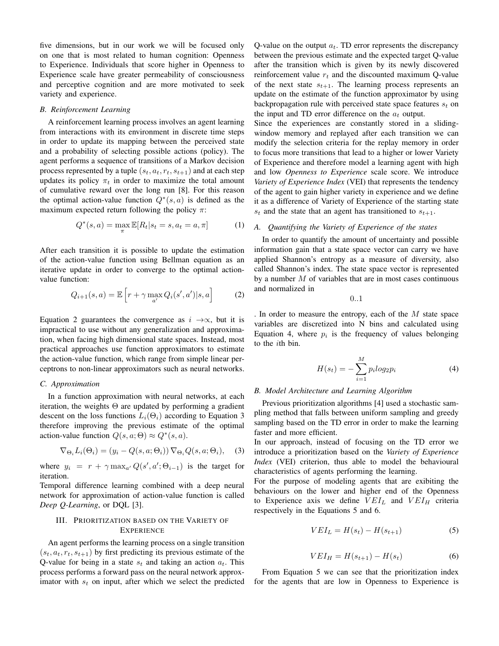five dimensions, but in our work we will be focused only on one that is most related to human cognition: Openness to Experience. Individuals that score higher in Openness to Experience scale have greater permeability of consciousness and perceptive cognition and are more motivated to seek variety and experience.

#### *B. Reinforcement Learning*

A reinforcement learning process involves an agent learning from interactions with its environment in discrete time steps in order to update its mapping between the perceived state and a probability of selecting possible actions (policy). The agent performs a sequence of transitions of a Markov decision process represented by a tuple  $(s_t, a_t, r_t, s_{t+1})$  and at each step updates its policy  $\pi_t$  in order to maximize the total amount of cumulative reward over the long run [\[8\]](#page-4-7). For this reason the optimal action-value function  $Q^*(s, a)$  is defined as the maximum expected return following the policy  $\pi$ :

$$
Q^*(s, a) = \max_{\pi} \mathbb{E}[R_t | s_t = s, a_t = a, \pi]
$$
 (1)

After each transition it is possible to update the estimation of the action-value function using Bellman equation as an iterative update in order to converge to the optimal actionvalue function:

<span id="page-1-0"></span>
$$
Q_{i+1}(s,a) = \mathbb{E}\left[r + \gamma \max_{a'} Q_i(s',a')|s,a\right]
$$
 (2)

Equation [2](#page-1-0) guarantees the convergence as  $i \rightarrow \infty$ , but it is impractical to use without any generalization and approximation, when facing high dimensional state spaces. Instead, most practical approaches use function approximators to estimate the action-value function, which range from simple linear perceptrons to non-linear approximators such as neural networks.

# *C. Approximation*

In a function approximation with neural networks, at each iteration, the weights  $\Theta$  are updated by performing a gradient descent on the loss functions  $L_i(\Theta_i)$  according to [Equation 3](#page-1-1) therefore improving the previous estimate of the optimal action-value function  $Q(s, a; \Theta) \approx Q^*(s, a)$ .

<span id="page-1-1"></span>
$$
\nabla_{\Theta_i} L_i(\Theta_i) = (y_i - Q(s, a; \Theta_i)) \nabla_{\Theta_i} Q(s, a; \Theta_i), \quad (3)
$$

where  $y_i = r + \gamma \max_{a'} Q(s', a'; \Theta_{i-1})$  is the target for iteration.

Temporal difference learning combined with a deep neural network for approximation of action-value function is called *Deep Q-Learning*, or DQL [\[3\]](#page-4-2).

## III. PRIORITIZATION BASED ON THE VARIETY OF **EXPERIENCE**

An agent performs the learning process on a single transition  $(s_t, a_t, r_t, s_{t+1})$  by first predicting its previous estimate of the Q-value for being in a state  $s_t$  and taking an action  $a_t$ . This process performs a forward pass on the neural network approximator with  $s_t$  on input, after which we select the predicted Q-value on the output  $a_t$ . TD error represents the discrepancy between the previous estimate and the expected target Q-value after the transition which is given by its newly discovered reinforcement value  $r_t$  and the discounted maximum Q-value of the next state  $s_{t+1}$ . The learning process represents an update on the estimate of the function approximator by using backpropagation rule with perceived state space features  $s_t$  on the input and TD error difference on the  $a_t$  output.

Since the experiences are constantly stored in a slidingwindow memory and replayed after each transition we can modify the selection criteria for the replay memory in order to focus more transitions that lead to a higher or lower Variety of Experience and therefore model a learning agent with high and low *Openness to Experience* scale score. We introduce *Variety of Experience Index* (VEI) that represents the tendency of the agent to gain higher variety in experience and we define it as a difference of Variety of Experience of the starting state  $s_t$  and the state that an agent has transitioned to  $s_{t+1}$ .

## *A. Quantifying the Variety of Experience of the states*

In order to quantify the amount of uncertainty and possible information gain that a state space vector can carry we have applied Shannon's entropy as a measure of diversity, also called Shannon's index. The state space vector is represented by a number  $M$  of variables that are in most cases continuous and normalized in

0..1

. In order to measure the entropy, each of the  $M$  state space variables are discretized into N bins and calculated using [Equation 4,](#page-1-2) where  $p_i$  is the frequency of values belonging to the *i*th bin.

<span id="page-1-2"></span>
$$
H(s_t) = -\sum_{i=1}^{M} p_i log_2 p_i
$$
 (4)

#### *B. Model Architecture and Learning Algorithm*

Previous prioritization algorithms [\[4\]](#page-4-3) used a stochastic sampling method that falls between uniform sampling and greedy sampling based on the TD error in order to make the learning faster and more efficient.

In our approach, instead of focusing on the TD error we introduce a prioritization based on the *Variety of Experience Index* (VEI) criterion, thus able to model the behavioural characteristics of agents performing the learning.

For the purpose of modeling agents that are exibiting the behaviours on the lower and higher end of the Openness to Experience axis we define  $VEI_L$  and  $VEI_H$  criteria respectively in the Equations [5](#page-1-3) and [6.](#page-1-4)

<span id="page-1-3"></span>
$$
VEL_L = H(s_t) - H(s_{t+1})
$$
\n<sup>(5)</sup>

<span id="page-1-4"></span>
$$
VEI_H = H(s_{t+1}) - H(s_t) \tag{6}
$$

From Equation [5](#page-1-3) we can see that the prioritization index for the agents that are low in Openness to Experience is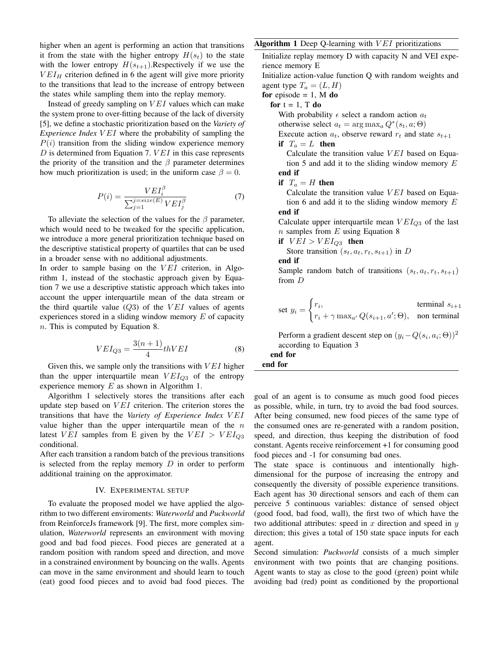higher when an agent is performing an action that transitions it from the state with the higher entropy  $H(s_t)$  to the state with the lower entropy  $H(s_{t+1})$ . Respectively if we use the  $VEI<sub>H</sub>$  criterion defined in [6](#page-1-4) the agent will give more priority to the transitions that lead to the increase of entropy between the states while sampling them into the replay memory.

Instead of greedy sampling on  $VEI$  values which can make the system prone to over-fitting because of the lack of diversity [\[5\]](#page-4-4), we define a stochastic prioritization based on the *Variety of Experience Index VEI* where the probability of sampling the  $P(i)$  transition from the sliding window experience memory  $D$  is determined from [Equation 7.](#page-2-0)  $VEI$  in this case represents the priority of the transition and the  $\beta$  parameter determines how much prioritization is used; in the uniform case  $\beta = 0$ .

<span id="page-2-0"></span>
$$
P(i) = \frac{VEI_i^{\beta}}{\sum_{j=1}^{j=size(E)}VEI_j^{\beta}}
$$
\n(7)

To alleviate the selection of the values for the  $\beta$  parameter, which would need to be tweaked for the specific application, we introduce a more general prioritization technique based on the descriptive statistical property of quartiles that can be used in a broader sense with no additional adjustments.

In order to sample basing on the  $VEI$  criterion, in Algorithm [1,](#page-2-1) instead of the stochastic approach given by Equation [7](#page-2-0) we use a descriptive statistic approach which takes into account the upper interquartile mean of the data stream or the third quartile value  $(Q3)$  of the VEI values of agents experiences stored in a sliding window memory  $E$  of capacity n. This is computed by Equation [8.](#page-2-2)

<span id="page-2-2"></span>
$$
VEI_{Q3} = \frac{3(n+1)}{4}thVEI
$$
 (8)

Given this, we sample only the transitions with  $VEI$  higher than the upper interquartile mean  $VEI_{O3}$  of the entropy experience memory  $E$  as shown in Algorithm [1.](#page-2-1)

Algorithm [1](#page-2-1) selectively stores the transitions after each update step based on  $VEI$  criterion. The criterion stores the transitions that have the *Variety of Experience Index* V EI value higher than the upper interquartile mean of the  $n$ latest VEI samples from E given by the  $VEI > VEI_{O3}$ conditional.

After each transition a random batch of the previous transitions is selected from the replay memory  $D$  in order to perform additional training on the approximator.

#### IV. EXPERIMENTAL SETUP

To evaluate the proposed model we have applied the algorithm to two different enviroments: *Waterworld* and *Puckworld* from ReinforceJs framework [\[9\]](#page-4-8). The first, more complex simulation, *Waterworld* represents an environment with moving good and bad food pieces. Food pieces are generated at a random position with random speed and direction, and move in a constrained environment by bouncing on the walls. Agents can move in the same environment and should learn to touch (eat) good food pieces and to avoid bad food pieces. The

# <span id="page-2-1"></span>Algorithm 1 Deep Q-learning with  $VEI$  prioritizations

Initialize replay memory D with capacity N and VEI experience memory E Initialize action-value function Q with random weights and

agent type  $T_a = (L, H)$ 

for episode  $= 1$ , M do

for  $t = 1$ , T do

With probability  $\epsilon$  select a random action  $a_t$ 

otherwise select  $a_t = \arg \max_a Q^*(s_t, a; \Theta)$ 

Execute action  $a_t$ , observe reward  $r_t$  and state  $s_{t+1}$ if  $T_a = L$  then

Calculate the transition value  $VEI$  based on [Equa](#page-1-3)[tion 5](#page-1-3) and add it to the sliding window memory  $E$ end if

if  $T_a = H$  then

Calculate the transition value  $VEI$  based on [Equa](#page-1-4)[tion 6](#page-1-4) and add it to the sliding window memory  $E$ end if

Calculate upper interquartile mean  $VEI_{Q3}$  of the last  $n$  samples from  $E$  using [Equation 8](#page-2-2)

if  $VEI > VEI_{Q3}$  then

Store transition 
$$
(s_t, a_t, r_t, s_{t+1})
$$
 in *D*

end if

Sample random batch of transitions  $(s_t, a_t, r_t, s_{t+1})$ from D

set 
$$
y_i = \begin{cases} r_i, & \text{terminal } s_{i+1} \\ r_i + \gamma \max_{a'} Q(s_{i+1}, a'; \Theta), & \text{non terminal} \end{cases}
$$

Perform a gradient descent step on  $(y_i - Q(s_i, a_i; \Theta))^2$ according to [Equation 3](#page-1-1)

end for end for

goal of an agent is to consume as much good food pieces as possible, while, in turn, try to avoid the bad food sources. After being consumed, new food pieces of the same type of the consumed ones are re-generated with a random position, speed, and direction, thus keeping the distribution of food constant. Agents receive reinforcement +1 for consuming good food pieces and -1 for consuming bad ones.

The state space is continuous and intentionally highdimensional for the purpose of increasing the entropy and consequently the diversity of possible experience transitions. Each agent has 30 directional sensors and each of them can perceive 5 continuous variables: distance of sensed object (good food, bad food, wall), the first two of which have the two additional attributes: speed in  $x$  direction and speed in  $y$ direction; this gives a total of 150 state space inputs for each agent.

Second simulation: *Puckworld* consists of a much simpler environment with two points that are changing positions. Agent wants to stay as close to the good (green) point while avoiding bad (red) point as conditioned by the proportional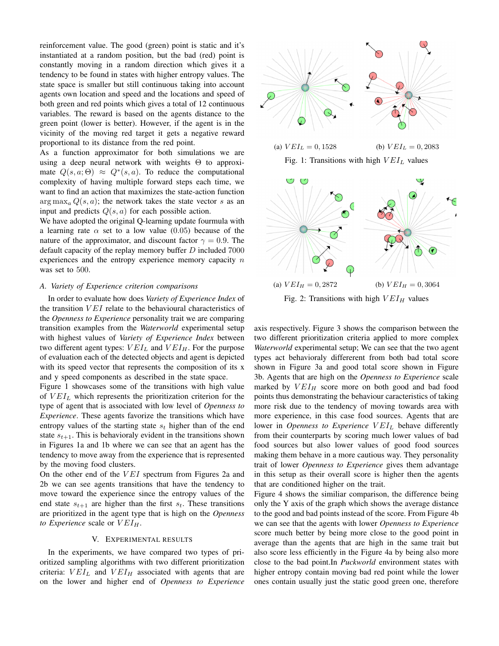reinforcement value. The good (green) point is static and it's instantiated at a random position, but the bad (red) point is constantly moving in a random direction which gives it a tendency to be found in states with higher entropy values. The state space is smaller but still continuous taking into account agents own location and speed and the locations and speed of both green and red points which gives a total of 12 continuous variables. The reward is based on the agents distance to the green point (lower is better). However, if the agent is in the vicinity of the moving red target it gets a negative reward proportional to its distance from the red point.

As a function approximator for both simulations we are using a deep neural network with weights  $\Theta$  to approximate  $Q(s, a; \Theta) \approx Q^*(s, a)$ . To reduce the computational complexity of having multiple forward steps each time, we want to find an action that maximizes the state-action function  $\arg \max_a Q(s, a)$ ; the network takes the state vector s as an input and predicts  $Q(s, a)$  for each possible action.

We have adopted the original Q-learning update fourmula with a learning rate  $\alpha$  set to a low value (0.05) because of the nature of the approximator, and discount factor  $\gamma = 0.9$ . The default capacity of the replay memory buffer  $D$  included  $7000$ experiences and the entropy experience memory capacity  $n$ was set to 500.

## *A. Variety of Experience criterion comparisons*

In order to evaluate how does *Variety of Experience Index* of the transition  $VEI$  relate to the behavioural characteristics of the *Openness to Experience* personality trait we are comparing transition examples from the *Waterworld* experimental setup with highest values of *Variety of Experience Index* between two different agent types:  $VEI_L$  and  $VEI_H$ . For the purpose of evaluation each of the detected objects and agent is depicted with its speed vector that represents the composition of its x and y speed components as described in the state space.

[Figure 1](#page-3-0) showcases some of the transitions with high value of  $VEI_L$  which represents the prioritization criterion for the type of agent that is associated with low level of *Openness to Experience*. These agents favorize the transitions which have entropy values of the starting state  $s_t$  higher than of the end state  $s_{t+1}$ . This is behavioraly evident in the transitions shown in Figures [1a](#page-3-0) and [1b](#page-3-0) where we can see that an agent has the tendency to move away from the experience that is represented by the moving food clusters.

On the other end of the  $VEI$  spectrum from Figures [2a](#page-3-1) and [2b](#page-3-1) we can see agents transitions that have the tendency to move toward the experience since the entropy values of the end state  $s_{t+1}$  are higher than the first  $s_t$ . These transitions are prioritized in the agent type that is high on the *Openness to Experience* scale or  $VEI_H$ .

# V. EXPERIMENTAL RESULTS

In the experiments, we have compared two types of prioritized sampling algorithms with two different prioritization criteria:  $VEI_L$  and  $VEI_H$  associated with agents that are on the lower and higher end of *Openness to Experience*

<span id="page-3-0"></span>

(a)  $VEI_L = 0,1528$  (b)  $VEI_L = 0,2083$ Fig. 1: Transitions with high  $VEI_L$  values

<span id="page-3-1"></span>

Fig. 2: Transitions with high  $VEI_H$  values

axis respectively. [Figure 3](#page-4-9) shows the comparison between the two different prioritization criteria applied to more complex *Waterworld* experimental setup; We can see that the two agent types act behavioraly differerent from both bad total score shown in Figure [3a](#page-4-9) and good total score shown in Figure [3b.](#page-4-9) Agents that are high on the *Openness to Experience* scale marked by  $VEI_H$  score more on both good and bad food points thus demonstrating the behaviour caracteristics of taking more risk due to the tendency of moving towards area with more experience, in this case food sources. Agents that are lower in *Openness to Experience* VEI<sub>L</sub> behave differently from their counterparts by scoring much lower values of bad food sources but also lower values of good food sources making them behave in a more cautious way. They personality trait of lower *Openness to Experience* gives them advantage in this setup as their overall score is higher then the agents that are conditioned higher on the trait.

Figure [4](#page-4-10) shows the similiar comparison, the difference being only the Y axis of the graph which shows the average distance to the good and bad points instead of the score. From Figure [4b](#page-4-10) we can see that the agents with lower *Openness to Experience* score much better by being more close to the good point in average than the agents that are high in the same trait but also score less efficiently in the Figure [4a](#page-4-10) by being also more close to the bad point.In *Puckworld* environment states with higher entropy contain moving bad red point while the lower ones contain usually just the static good green one, therefore